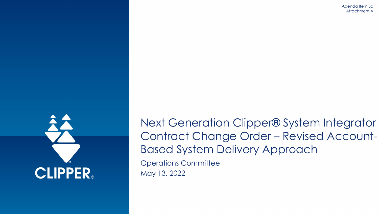Agenda Item 5a Attachment A



Next Generation Clipper® System Integrator Contract Change Order – Revised Account-Based System Delivery Approach

Operations Committee May 13, 2022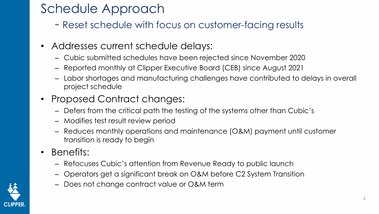## Schedule Approach

- Reset schedule with focus on customer-facing results
- Addresses current schedule delays:
	- Cubic submitted schedules have been rejected since November 2020
	- Reported monthly at Clipper Executive Board (CEB) since August 2021
	- Labor shortages and manufacturing challenges have contributed to delays in overall project schedule
- Proposed Contract changes:
	- Defers from the critical path the testing of the systems other than Cubic's
	- Modifies test result review period
	- Reduces monthly operations and maintenance (O&M) payment until customer transition is ready to begin
- Benefits:
	- Refocuses Cubic's attention from Revenue Ready to public launch
	- Operators get a significant break on O&M before C2 System Transition
	- Does not change contract value or O&M term

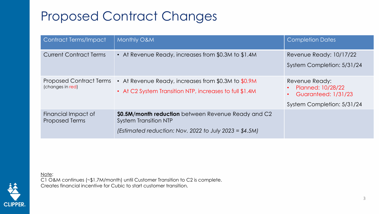## Proposed Contract Changes

| <b>Contract Terms/Impact</b>                       | Monthly O&M                                                                                                                                     | <b>Completion Dates</b>                                                                         |
|----------------------------------------------------|-------------------------------------------------------------------------------------------------------------------------------------------------|-------------------------------------------------------------------------------------------------|
| <b>Current Contract Terms</b>                      | • At Revenue Ready, increases from \$0.3M to \$1.4M                                                                                             | Revenue Ready: 10/17/22<br>System Completion: 5/31/24                                           |
| <b>Proposed Contract Terms</b><br>(changes in red) | • At Revenue Ready, increases from \$0.3M to $$0.9M$<br>• At C2 System Transition NTP, increases to full \$1.4M                                 | Revenue Ready:<br>Planned: 10/28/22<br><b>Guaranteed: 1/31/23</b><br>System Completion: 5/31/24 |
| Financial Impact of<br><b>Proposed Terms</b>       | \$0.5M/month reduction between Revenue Ready and C2<br><b>System Transition NTP</b><br>(Estimated reduction: Nov. 2022 to July 2023 = $$4.5M$ ) |                                                                                                 |

Note:

C1 O&M continues (~\$1.7M/month) until Customer Transition to C2 is complete. Creates financial incentive for Cubic to start customer transition.